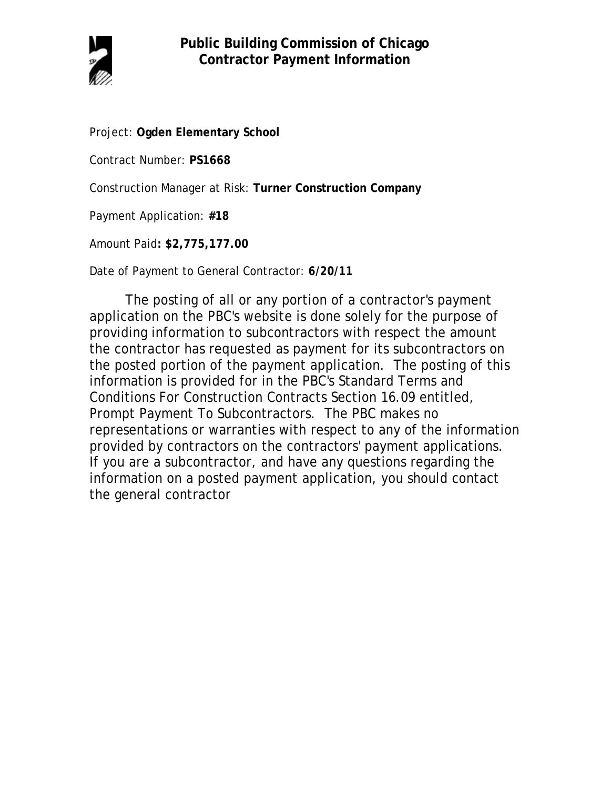

Project: **Ogden Elementary School**

Contract Number: **PS1668**

Construction Manager at Risk: **Turner Construction Company**

Payment Application: **#18**

Amount Paid**: \$2,775,177.00**

Date of Payment to General Contractor: **6/20/11**

The posting of all or any portion of a contractor's payment application on the PBC's website is done solely for the purpose of providing information to subcontractors with respect the amount the contractor has requested as payment for its subcontractors on the posted portion of the payment application. The posting of this information is provided for in the PBC's Standard Terms and Conditions For Construction Contracts Section 16.09 entitled, Prompt Payment To Subcontractors. The PBC makes no representations or warranties with respect to any of the information provided by contractors on the contractors' payment applications. If you are a subcontractor, and have any questions regarding the information on a posted payment application, you should contact the general contractor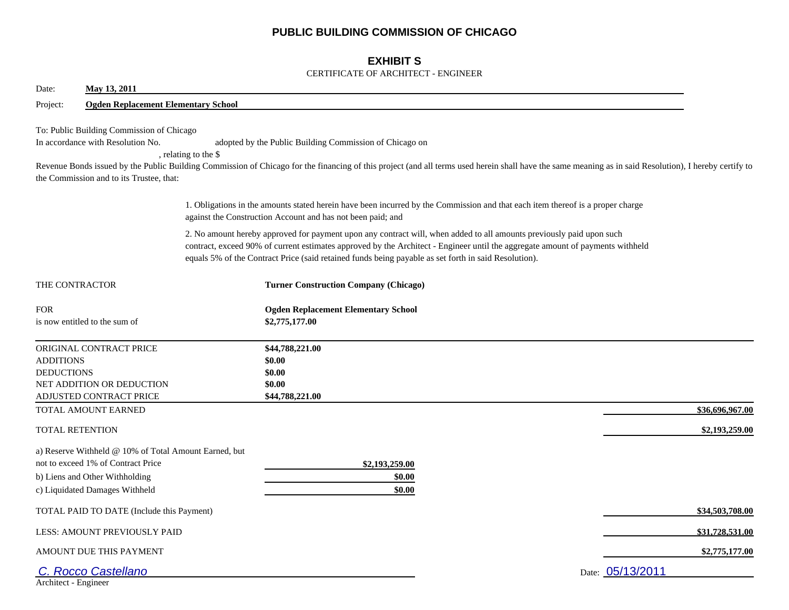## **PUBLIC BUILDING COMMISSION OF CHICAGO**

## **EXHIBIT S**

#### CERTIFICATE OF ARCHITECT - ENGINEER

| May 13, 2011<br>Date:                                                                                                                                           |                                                                                                                                                                                                                                                                                                                                                                |                 |
|-----------------------------------------------------------------------------------------------------------------------------------------------------------------|----------------------------------------------------------------------------------------------------------------------------------------------------------------------------------------------------------------------------------------------------------------------------------------------------------------------------------------------------------------|-----------------|
| <b>Ogden Replacement Elementary School</b><br>Project:                                                                                                          |                                                                                                                                                                                                                                                                                                                                                                |                 |
| To: Public Building Commission of Chicago<br>In accordance with Resolution No.<br>the Commission and to its Trustee, that:                                      | adopted by the Public Building Commission of Chicago on<br>, relating to the \$<br>Revenue Bonds issued by the Public Building Commission of Chicago for the financing of this project (and all terms used herein shall have the same meaning as in said Resolution), I hereby certify to                                                                      |                 |
|                                                                                                                                                                 | 1. Obligations in the amounts stated herein have been incurred by the Commission and that each item thereof is a proper charge<br>against the Construction Account and has not been paid; and                                                                                                                                                                  |                 |
|                                                                                                                                                                 | 2. No amount hereby approved for payment upon any contract will, when added to all amounts previously paid upon such<br>contract, exceed 90% of current estimates approved by the Architect - Engineer until the aggregate amount of payments withheld<br>equals 5% of the Contract Price (said retained funds being payable as set forth in said Resolution). |                 |
| THE CONTRACTOR                                                                                                                                                  | <b>Turner Construction Company (Chicago)</b>                                                                                                                                                                                                                                                                                                                   |                 |
| <b>FOR</b><br>is now entitled to the sum of                                                                                                                     | <b>Ogden Replacement Elementary School</b><br>\$2,775,177.00                                                                                                                                                                                                                                                                                                   |                 |
| ORIGINAL CONTRACT PRICE<br><b>ADDITIONS</b><br><b>DEDUCTIONS</b><br>NET ADDITION OR DEDUCTION<br>ADJUSTED CONTRACT PRICE                                        | \$44,788,221.00<br>\$0.00<br>\$0.00<br>\$0.00<br>\$44,788,221.00                                                                                                                                                                                                                                                                                               |                 |
| TOTAL AMOUNT EARNED                                                                                                                                             |                                                                                                                                                                                                                                                                                                                                                                | \$36,696,967.00 |
| <b>TOTAL RETENTION</b>                                                                                                                                          |                                                                                                                                                                                                                                                                                                                                                                | \$2,193,259.00  |
| a) Reserve Withheld @ 10% of Total Amount Earned, but<br>not to exceed 1% of Contract Price<br>b) Liens and Other Withholding<br>c) Liquidated Damages Withheld | \$2,193,259.00<br>\$0.00<br>\$0.00                                                                                                                                                                                                                                                                                                                             |                 |
| TOTAL PAID TO DATE (Include this Payment)                                                                                                                       |                                                                                                                                                                                                                                                                                                                                                                | \$34,503,708.00 |
| LESS: AMOUNT PREVIOUSLY PAID                                                                                                                                    |                                                                                                                                                                                                                                                                                                                                                                | \$31,728,531.00 |
| AMOUNT DUE THIS PAYMENT                                                                                                                                         |                                                                                                                                                                                                                                                                                                                                                                | \$2,775,177.00  |
| <b>Rocco Castellano</b><br>Architect - Engineer                                                                                                                 | Date: 05/13/2011                                                                                                                                                                                                                                                                                                                                               |                 |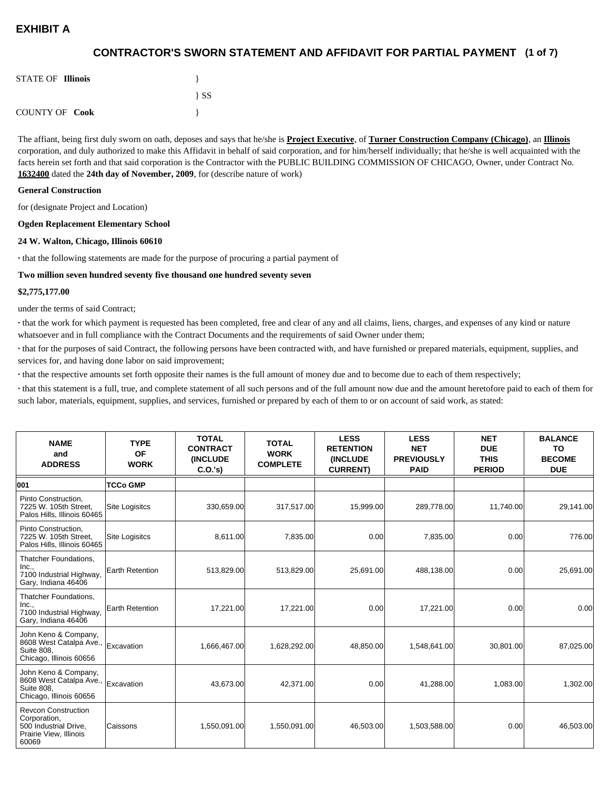## **(1 of 7) CONTRACTOR'S SWORN STATEMENT AND AFFIDAVIT FOR PARTIAL PAYMENT**

| <b>STATE OF Illinois</b> |          |
|--------------------------|----------|
|                          | $\{SS\}$ |
| <b>COUNTY OF Cook</b>    |          |

The affiant, being first duly sworn on oath, deposes and says that he/she is **Project Executive**, of **Turner Construction Company (Chicago)**, an **Illinois** corporation, and duly authorized to make this Affidavit in behalf of said corporation, and for him/herself individually; that he/she is well acquainted with the facts herein set forth and that said corporation is the Contractor with the PUBLIC BUILDING COMMISSION OF CHICAGO, Owner, under Contract No. **1632400** dated the **24th day of November, 2009**, for (describe nature of work)

#### **General Construction**

for (designate Project and Location)

#### **Ogden Replacement Elementary School**

#### **24 W. Walton, Chicago, Illinois 60610**

**·** that the following statements are made for the purpose of procuring a partial payment of

#### **Two million seven hundred seventy five thousand one hundred seventy seven**

#### **\$2,775,177.00**

under the terms of said Contract;

**·** that the work for which payment is requested has been completed, free and clear of any and all claims, liens, charges, and expenses of any kind or nature whatsoever and in full compliance with the Contract Documents and the requirements of said Owner under them;

**·** that for the purposes of said Contract, the following persons have been contracted with, and have furnished or prepared materials, equipment, supplies, and services for, and having done labor on said improvement;

**·** that the respective amounts set forth opposite their names is the full amount of money due and to become due to each of them respectively;

**·** that this statement is a full, true, and complete statement of all such persons and of the full amount now due and the amount heretofore paid to each of them for such labor, materials, equipment, supplies, and services, furnished or prepared by each of them to or on account of said work, as stated:

| <b>NAME</b><br>and<br><b>ADDRESS</b>                                                                   | <b>TYPE</b><br><b>OF</b><br><b>WORK</b> | <b>TOTAL</b><br><b>CONTRACT</b><br><b>(INCLUDE</b><br>C.O.'s | <b>TOTAL</b><br><b>WORK</b><br><b>COMPLETE</b> | <b>LESS</b><br><b>RETENTION</b><br><b>(INCLUDE</b><br><b>CURRENT)</b> | <b>LESS</b><br><b>NET</b><br><b>PREVIOUSLY</b><br><b>PAID</b> | <b>NET</b><br><b>DUE</b><br><b>THIS</b><br><b>PERIOD</b> | <b>BALANCE</b><br><b>TO</b><br><b>BECOME</b><br><b>DUE</b> |
|--------------------------------------------------------------------------------------------------------|-----------------------------------------|--------------------------------------------------------------|------------------------------------------------|-----------------------------------------------------------------------|---------------------------------------------------------------|----------------------------------------------------------|------------------------------------------------------------|
| 001                                                                                                    | <b>TCCo GMP</b>                         |                                                              |                                                |                                                                       |                                                               |                                                          |                                                            |
| Pinto Construction,<br>7225 W. 105th Street.<br>Palos Hills, Illinois 60465                            | Site Logisitcs                          | 330,659.00                                                   | 317,517.00                                     | 15,999.00                                                             | 289,778.00                                                    | 11,740.00                                                | 29,141.00                                                  |
| Pinto Construction.<br>7225 W. 105th Street,<br>Palos Hills, Illinois 60465                            | <b>Site Logisitcs</b>                   | 8,611.00                                                     | 7,835.00                                       | 0.00                                                                  | 7,835.00                                                      | 0.00                                                     | 776.00                                                     |
| Thatcher Foundations,<br>Inc.,<br>7100 Industrial Highway,<br>Gary, Indiana 46406                      | Earth Retention                         | 513,829.00                                                   | 513,829.00                                     | 25,691.00                                                             | 488,138.00                                                    | 0.00                                                     | 25,691.00                                                  |
| Thatcher Foundations,<br>Inc.,<br>7100 Industrial Highway,<br>Gary, Indiana 46406                      | Earth Retention                         | 17,221.00                                                    | 17,221.00                                      | 0.00                                                                  | 17,221.00                                                     | 0.00                                                     | 0.00                                                       |
| John Keno & Company,<br>8608 West Catalpa Ave.,<br>Suite 808.<br>Chicago, Illinois 60656               | Excavation                              | 1,666,467.00                                                 | 1,628,292.00                                   | 48,850.00                                                             | 1,548,641.00                                                  | 30,801.00                                                | 87,025.00                                                  |
| John Keno & Company,<br>8608 West Catalpa Ave.,<br><b>Suite 808.</b><br>Chicago, Illinois 60656        | Excavation                              | 43.673.00                                                    | 42,371.00                                      | 0.00                                                                  | 41,288.00                                                     | 1,083.00                                                 | 1,302.00                                                   |
| <b>Revcon Construction</b><br>Corporation,<br>500 Industrial Drive,<br>Prairie View, Illinois<br>60069 | Caissons                                | 1,550,091.00                                                 | 1,550,091.00                                   | 46,503.00                                                             | 1,503,588.00                                                  | 0.00                                                     | 46,503.00                                                  |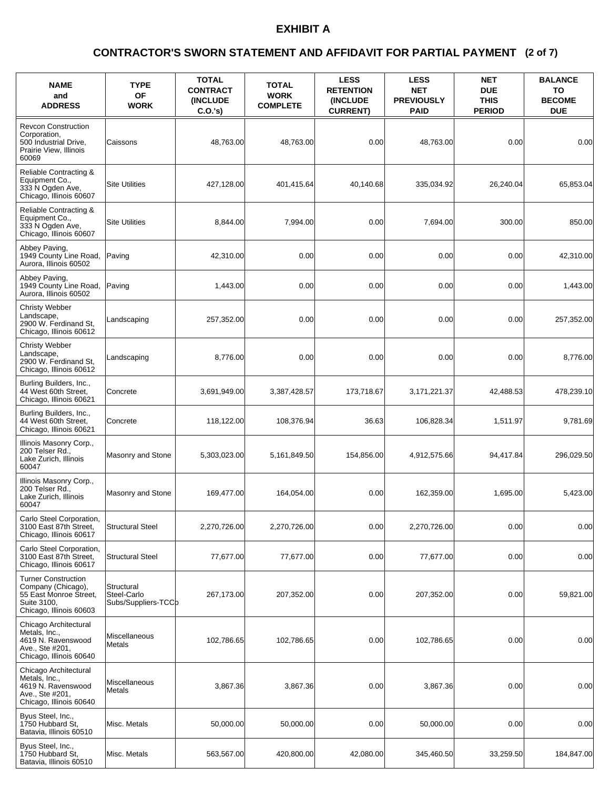### **(2 of 7) CONTRACTOR'S SWORN STATEMENT AND AFFIDAVIT FOR PARTIAL PAYMENT**

| <b>NAME</b><br>and<br><b>ADDRESS</b>                                                                                 | <b>TYPE</b><br><b>OF</b><br><b>WORK</b>          | <b>TOTAL</b><br><b>CONTRACT</b><br><b>(INCLUDE)</b><br>C.O.'s | <b>TOTAL</b><br><b>WORK</b><br><b>COMPLETE</b> | <b>LESS</b><br><b>RETENTION</b><br><b>(INCLUDE)</b><br><b>CURRENT)</b> | <b>LESS</b><br><b>NET</b><br><b>PREVIOUSLY</b><br><b>PAID</b> | <b>NET</b><br><b>DUE</b><br><b>THIS</b><br><b>PERIOD</b> | <b>BALANCE</b><br>TO<br><b>BECOME</b><br><b>DUE</b> |
|----------------------------------------------------------------------------------------------------------------------|--------------------------------------------------|---------------------------------------------------------------|------------------------------------------------|------------------------------------------------------------------------|---------------------------------------------------------------|----------------------------------------------------------|-----------------------------------------------------|
| <b>Revcon Construction</b><br>Corporation,<br>500 Industrial Drive,<br>Prairie View, Illinois<br>60069               | Caissons                                         | 48,763.00                                                     | 48,763.00                                      | 0.00                                                                   | 48.763.00                                                     | 0.00                                                     | 0.00                                                |
| Reliable Contracting &<br>Equipment Co.,<br>333 N Ogden Ave.<br>Chicago, Illinois 60607                              | <b>Site Utilities</b>                            | 427,128.00                                                    | 401,415.64                                     | 40.140.68                                                              | 335,034.92                                                    | 26,240.04                                                | 65,853.04                                           |
| Reliable Contracting &<br>Equipment Co.,<br>333 N Ogden Ave.<br>Chicago, Illinois 60607                              | <b>Site Utilities</b>                            | 8,844.00                                                      | 7,994.00                                       | 0.00                                                                   | 7,694.00                                                      | 300.00                                                   | 850.00                                              |
| Abbey Paving,<br>1949 County Line Road,<br>Aurora, Illinois 60502                                                    | Paving                                           | 42,310.00                                                     | 0.00                                           | 0.00                                                                   | 0.00                                                          | 0.00                                                     | 42,310.00                                           |
| Abbey Paving,<br>1949 County Line Road,<br>Aurora. Illinois 60502                                                    | Paving                                           | 1,443.00                                                      | 0.00                                           | 0.00                                                                   | 0.00                                                          | 0.00                                                     | 1,443.00                                            |
| <b>Christy Webber</b><br>Landscape,<br>2900 W. Ferdinand St.<br>Chicago, Illinois 60612                              | Landscaping                                      | 257,352.00                                                    | 0.00                                           | 0.00                                                                   | 0.00                                                          | 0.00                                                     | 257,352.00                                          |
| <b>Christy Webber</b><br>Landscape,<br>2900 W. Ferdinand St,<br>Chicago, Illinois 60612                              | Landscaping                                      | 8,776.00                                                      | 0.00                                           | 0.00                                                                   | 0.00                                                          | 0.00                                                     | 8,776.00                                            |
| Burling Builders, Inc.,<br>44 West 60th Street,<br>Chicago, Illinois 60621                                           | Concrete                                         | 3,691,949.00                                                  | 3,387,428.57                                   | 173,718.67                                                             | 3,171,221.37                                                  | 42,488.53                                                | 478,239.10                                          |
| Burling Builders, Inc.,<br>44 West 60th Street,<br>Chicago, Illinois 60621                                           | Concrete                                         | 118,122.00                                                    | 108,376.94                                     | 36.63                                                                  | 106,828.34                                                    | 1,511.97                                                 | 9,781.69                                            |
| Illinois Masonry Corp.,<br>200 Telser Rd.,<br>Lake Zurich, Illinois<br>60047                                         | Masonry and Stone                                | 5,303,023.00                                                  | 5,161,849.50                                   | 154,856.00                                                             | 4,912,575.66                                                  | 94,417.84                                                | 296.029.50                                          |
| Illinois Masonry Corp.,<br>200 Telser Rd<br>Lake Zurich, Illinois<br>60047                                           | Masonry and Stone                                | 169,477.00                                                    | 164,054.00                                     | 0.00                                                                   | 162,359.00                                                    | 1,695.00                                                 | 5,423.00                                            |
| Carlo Steel Corporation,<br>3100 East 87th Street,<br>Chicago, Illinois 60617                                        | <b>Structural Steel</b>                          | 2,270,726.00                                                  | 2,270,726.00                                   | 0.00                                                                   | 2,270,726.00                                                  | 0.00                                                     | 0.00                                                |
| Carlo Steel Corporation,<br>3100 East 87th Street,<br>Chicago, Illinois 60617                                        | <b>Structural Steel</b>                          | 77,677.00                                                     | 77,677.00                                      | 0.00                                                                   | 77,677.00                                                     | 0.00                                                     | 0.00                                                |
| <b>Turner Construction</b><br>Company (Chicago),<br>55 East Monroe Street,<br>Suite 3100,<br>Chicago, Illinois 60603 | Structural<br>Steel-Carlo<br>Subs/Suppliers-TCCb | 267,173.00                                                    | 207,352.00                                     | 0.00                                                                   | 207,352.00                                                    | 0.00                                                     | 59,821.00                                           |
| Chicago Architectural<br>Metals, Inc.,<br>4619 N. Ravenswood<br>Ave., Ste #201,<br>Chicago, Illinois 60640           | Miscellaneous<br>Metals                          | 102,786.65                                                    | 102.786.65                                     | 0.00                                                                   | 102,786.65                                                    | 0.00                                                     | 0.00                                                |
| Chicago Architectural<br>Metals, Inc.,<br>4619 N. Ravenswood<br>Ave., Ste #201,<br>Chicago, Illinois 60640           | Miscellaneous<br>Metals                          | 3,867.36                                                      | 3,867.36                                       | 0.00                                                                   | 3,867.36                                                      | 0.00                                                     | 0.00                                                |
| Byus Steel, Inc.,<br>1750 Hubbard St.<br>Batavia, Illinois 60510                                                     | Misc. Metals                                     | 50,000.00                                                     | 50,000.00                                      | 0.00                                                                   | 50,000.00                                                     | 0.00                                                     | 0.00                                                |
| Byus Steel, Inc.,<br>1750 Hubbard St.<br>Batavia, Illinois 60510                                                     | Misc. Metals                                     | 563,567.00                                                    | 420,800.00                                     | 42,080.00                                                              | 345,460.50                                                    | 33,259.50                                                | 184,847.00                                          |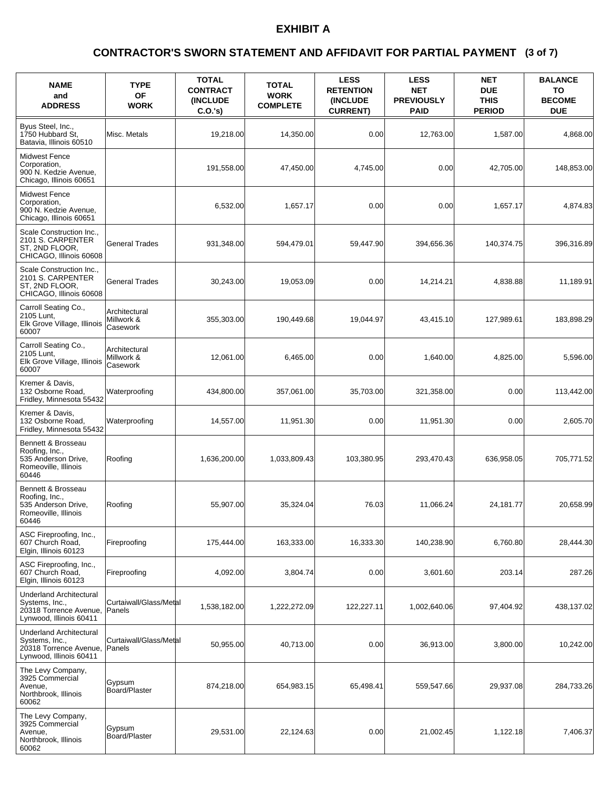### **(3 of 7) CONTRACTOR'S SWORN STATEMENT AND AFFIDAVIT FOR PARTIAL PAYMENT**

| <b>NAME</b><br>and<br><b>ADDRESS</b>                                                                  | <b>TYPE</b><br>OF<br><b>WORK</b>        | <b>TOTAL</b><br><b>CONTRACT</b><br><b>INCLUDE</b><br>C.O.'s | <b>TOTAL</b><br><b>WORK</b><br><b>COMPLETE</b> | <b>LESS</b><br><b>RETENTION</b><br>(INCLUDE<br><b>CURRENT)</b> | <b>LESS</b><br><b>NET</b><br><b>PREVIOUSLY</b><br><b>PAID</b> | <b>NET</b><br><b>DUE</b><br><b>THIS</b><br><b>PERIOD</b> | <b>BALANCE</b><br>TO<br><b>BECOME</b><br><b>DUE</b> |
|-------------------------------------------------------------------------------------------------------|-----------------------------------------|-------------------------------------------------------------|------------------------------------------------|----------------------------------------------------------------|---------------------------------------------------------------|----------------------------------------------------------|-----------------------------------------------------|
| Byus Steel, Inc.,<br>1750 Hubbard St.<br>Batavia. Illinois 60510                                      | Misc. Metals                            | 19,218.00                                                   | 14,350.00                                      | 0.00                                                           | 12,763.00                                                     | 1,587.00                                                 | 4,868.00                                            |
| <b>Midwest Fence</b><br>Corporation,<br>900 N. Kedzie Avenue,<br>Chicago, Illinois 60651              |                                         | 191,558.00                                                  | 47.450.00                                      | 4,745.00                                                       | 0.00                                                          | 42.705.00                                                | 148,853.00                                          |
| <b>Midwest Fence</b><br>Corporation.<br>900 N. Kedzie Avenue,<br>Chicago, Illinois 60651              |                                         | 6,532.00                                                    | 1,657.17                                       | 0.00                                                           | 0.00                                                          | 1,657.17                                                 | 4,874.83                                            |
| Scale Construction Inc.,<br>2101 S. CARPENTER<br>ST, 2ND FLOOR,<br>CHICAGO, Illinois 60608            | <b>General Trades</b>                   | 931,348.00                                                  | 594,479.01                                     | 59,447.90                                                      | 394,656.36                                                    | 140,374.75                                               | 396,316.89                                          |
| Scale Construction Inc<br>2101 S. CARPENTER<br>ST, 2ND FLOOR,<br>CHICAGO, Illinois 60608              | <b>General Trades</b>                   | 30,243.00                                                   | 19,053.09                                      | 0.00                                                           | 14,214.21                                                     | 4.838.88                                                 | 11.189.91                                           |
| Carroll Seating Co.,<br>2105 Lunt,<br>Elk Grove Village, Illinois<br>60007                            | Architectural<br>Millwork &<br>Casework | 355,303.00                                                  | 190,449.68                                     | 19.044.97                                                      | 43,415.10                                                     | 127,989.61                                               | 183,898.29                                          |
| Carroll Seating Co.,<br>2105 Lunt,<br>Elk Grove Village, Illinois<br>60007                            | Architectural<br>Millwork &<br>Casework | 12,061.00                                                   | 6,465.00                                       | 0.00                                                           | 1,640.00                                                      | 4,825.00                                                 | 5,596.00                                            |
| Kremer & Davis,<br>132 Osborne Road,<br>Fridley, Minnesota 55432                                      | Waterproofing                           | 434,800.00                                                  | 357,061.00                                     | 35,703.00                                                      | 321,358.00                                                    | 0.00                                                     | 113,442.00                                          |
| Kremer & Davis,<br>132 Osborne Road,<br>Fridley, Minnesota 55432                                      | Waterproofing                           | 14,557.00                                                   | 11,951.30                                      | 0.00                                                           | 11,951.30                                                     | 0.00                                                     | 2,605.70                                            |
| Bennett & Brosseau<br>Roofing, Inc.,<br>535 Anderson Drive,<br>Romeoville, Illinois<br>60446          | Roofing                                 | 1,636,200.00                                                | 1,033,809.43                                   | 103,380.95                                                     | 293,470.43                                                    | 636,958.05                                               | 705,771.52                                          |
| Bennett & Brosseau<br>Roofing, Inc.,<br>535 Anderson Drive,<br>Romeoville, Illinois<br>60446          | Roofing                                 | 55,907.00                                                   | 35.324.04                                      | 76.03                                                          | 11,066.24                                                     | 24,181.77                                                | 20.658.99                                           |
| ASC Fireproofing, Inc.,<br>607 Church Road,<br>Elgin, Illinois 60123                                  | Fireproofing                            | 175,444.00                                                  | 163,333.00                                     | 16,333.30                                                      | 140,238.90                                                    | 6,760.80                                                 | 28,444.30                                           |
| ASC Fireproofing, Inc.,<br>607 Church Road,<br>Elgin, Illinois 60123                                  | Fireproofing                            | 4,092.00                                                    | 3,804.74                                       | 0.00                                                           | 3,601.60                                                      | 203.14                                                   | 287.26                                              |
| <b>Underland Architectural</b><br>Systems, Inc.,<br>20318 Torrence Avenue,<br>Lynwood, Illinois 60411 | Curtaiwall/Glass/Metal<br><b>Panels</b> | 1,538,182.00                                                | 1,222,272.09                                   | 122,227.11                                                     | 1,002,640.06                                                  | 97,404.92                                                | 438,137.02                                          |
| <b>Underland Architectural</b><br>Systems, Inc.,<br>20318 Torrence Avenue,<br>Lynwood, Illinois 60411 | Curtaiwall/Glass/Metal<br>Panels        | 50,955.00                                                   | 40,713.00                                      | 0.00                                                           | 36,913.00                                                     | 3,800.00                                                 | 10,242.00                                           |
| The Levy Company,<br>3925 Commercial<br>Avenue,<br>Northbrook, Illinois<br>60062                      | Gypsum<br>Board/Plaster                 | 874,218.00                                                  | 654,983.15                                     | 65,498.41                                                      | 559,547.66                                                    | 29,937.08                                                | 284,733.26                                          |
| The Levy Company,<br>3925 Commercial<br>Avenue,<br>Northbrook, Illinois<br>60062                      | Gypsum<br>Board/Plaster                 | 29,531.00                                                   | 22,124.63                                      | 0.00                                                           | 21,002.45                                                     | 1,122.18                                                 | 7,406.37                                            |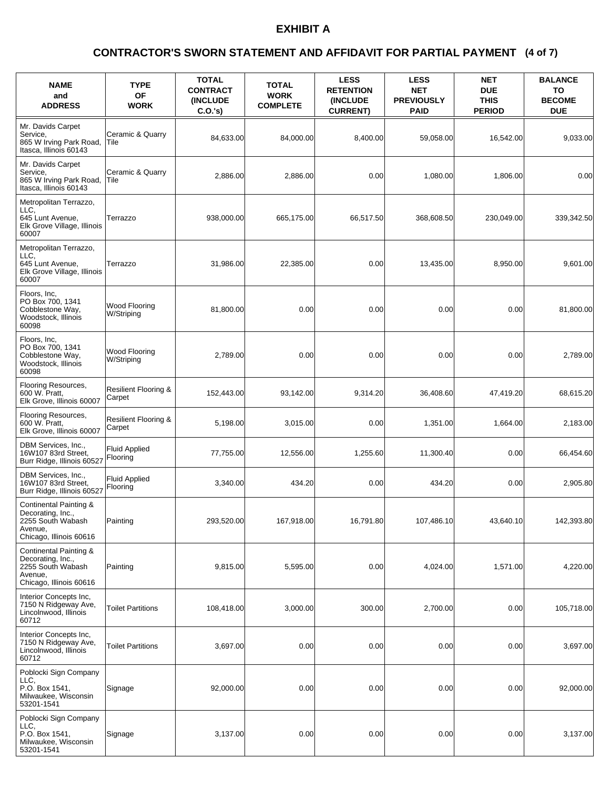### **(4 of 7) CONTRACTOR'S SWORN STATEMENT AND AFFIDAVIT FOR PARTIAL PAYMENT**

| <b>NAME</b><br>and<br><b>ADDRESS</b>                                                                   | <b>TYPE</b><br>OF<br><b>WORK</b>          | <b>TOTAL</b><br><b>CONTRACT</b><br><b>INCLUDE</b><br>C.O.'s | <b>TOTAL</b><br><b>WORK</b><br><b>COMPLETE</b> | <b>LESS</b><br><b>RETENTION</b><br>(INCLUDE<br><b>CURRENT)</b> | <b>LESS</b><br><b>NET</b><br><b>PREVIOUSLY</b><br><b>PAID</b> | <b>NET</b><br><b>DUE</b><br><b>THIS</b><br><b>PERIOD</b> | <b>BALANCE</b><br>TO<br><b>BECOME</b><br><b>DUE</b> |
|--------------------------------------------------------------------------------------------------------|-------------------------------------------|-------------------------------------------------------------|------------------------------------------------|----------------------------------------------------------------|---------------------------------------------------------------|----------------------------------------------------------|-----------------------------------------------------|
| Mr. Davids Carpet<br>Service,<br>865 W Irving Park Road,<br>Itasca, Illinois 60143                     | Ceramic & Quarry<br>Tile                  | 84,633.00                                                   | 84.000.00                                      | 8,400.00                                                       | 59,058.00                                                     | 16,542.00                                                | 9,033.00                                            |
| Mr. Davids Carpet<br>Service,<br>865 W Irving Park Road,<br>Itasca, Illinois 60143                     | Ceramic & Quarry<br>lTile                 | 2,886.00                                                    | 2,886.00                                       | 0.00                                                           | 1,080.00                                                      | 1,806.00                                                 | 0.00                                                |
| Metropolitan Terrazzo,<br>LLC.<br>645 Lunt Avenue,<br>Elk Grove Village, Illinois<br>60007             | Terrazzo                                  | 938,000.00                                                  | 665,175.00                                     | 66,517.50                                                      | 368,608.50                                                    | 230,049.00                                               | 339,342.50                                          |
| Metropolitan Terrazzo,<br>LLC.<br>645 Lunt Avenue,<br>Elk Grove Village, Illinois<br>60007             | Terrazzo                                  | 31,986.00                                                   | 22,385.00                                      | 0.00                                                           | 13,435.00                                                     | 8,950.00                                                 | 9,601.00                                            |
| Floors, Inc,<br>PO Box 700, 1341<br>Cobblestone Way,<br>Woodstock, Illinois<br>60098                   | <b>Wood Flooring</b><br>W/Striping        | 81,800.00                                                   | 0.00                                           | 0.00                                                           | 0.00                                                          | 0.00                                                     | 81,800.00                                           |
| Floors, Inc.<br>PO Box 700, 1341<br>Cobblestone Way,<br>Woodstock, Illinois<br>60098                   | Wood Flooring<br>W/Striping               | 2,789.00                                                    | 0.00                                           | 0.00                                                           | 0.00                                                          | 0.00                                                     | 2,789.00                                            |
| Flooring Resources,<br>600 W. Pratt,<br>Elk Grove, Illinois 60007                                      | <b>Resilient Flooring &amp;</b><br>Carpet | 152,443.00                                                  | 93,142.00                                      | 9,314.20                                                       | 36,408.60                                                     | 47,419.20                                                | 68,615.20                                           |
| Flooring Resources,<br>600 W. Pratt,<br>Elk Grove, Illinois 60007                                      | <b>Resilient Flooring &amp;</b><br>Carpet | 5,198.00                                                    | 3,015.00                                       | 0.00                                                           | 1,351.00                                                      | 1,664.00                                                 | 2,183.00                                            |
| DBM Services, Inc.,<br>16W107 83rd Street,<br>Burr Ridge, Illinois 60527                               | <b>Fluid Applied</b><br>Flooring          | 77,755.00                                                   | 12,556.00                                      | 1,255.60                                                       | 11,300.40                                                     | 0.00                                                     | 66,454.60                                           |
| DBM Services, Inc.,<br>16W107 83rd Street,<br>Burr Ridge, Illinois 60527                               | <b>Fluid Applied</b><br>Flooring          | 3,340.00                                                    | 434.20                                         | 0.00                                                           | 434.20                                                        | 0.00                                                     | 2,905.80                                            |
| Continental Painting &<br>Decorating, Inc.,<br>2255 South Wabash<br>Avenue,<br>Chicago, Illinois 60616 | Painting                                  | 293,520.00                                                  | 167,918.00                                     | 16,791.80                                                      | 107,486.10                                                    | 43,640.10                                                | 142,393.80                                          |
| Continental Painting &<br>Decorating, Inc.,<br>2255 South Wabash<br>Avenue,<br>Chicago, Illinois 60616 | Painting                                  | 9,815.00                                                    | 5,595.00                                       | 0.00                                                           | 4,024.00                                                      | 1,571.00                                                 | 4,220.00                                            |
| Interior Concepts Inc,<br>7150 N Ridgeway Ave,<br>Lincolnwood, Illinois<br>60712                       | <b>Toilet Partitions</b>                  | 108,418.00                                                  | 3,000.00                                       | 300.00                                                         | 2,700.00                                                      | 0.00                                                     | 105,718.00                                          |
| Interior Concepts Inc,<br>7150 N Ridgeway Ave,<br>Lincolnwood, Illinois<br>60712                       | <b>Toilet Partitions</b>                  | 3,697.00                                                    | 0.00                                           | 0.00                                                           | 0.00                                                          | 0.00                                                     | 3,697.00                                            |
| Poblocki Sign Company<br>LLC.<br>P.O. Box 1541,<br>Milwaukee, Wisconsin<br>53201-1541                  | Signage                                   | 92,000.00                                                   | 0.00                                           | 0.00                                                           | 0.00                                                          | 0.00                                                     | 92,000.00                                           |
| Poblocki Sign Company<br>LLC.<br>P.O. Box 1541,<br>Milwaukee, Wisconsin<br>53201-1541                  | Signage                                   | 3,137.00                                                    | 0.00                                           | 0.00                                                           | 0.00                                                          | 0.00                                                     | 3,137.00                                            |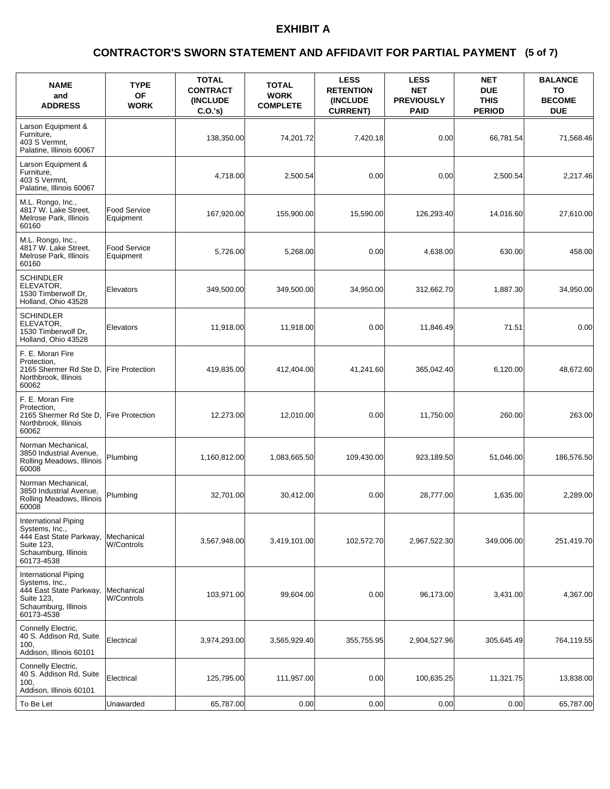### **(5 of 7) CONTRACTOR'S SWORN STATEMENT AND AFFIDAVIT FOR PARTIAL PAYMENT**

| <b>NAME</b><br>and<br><b>ADDRESS</b>                                                                                  | <b>TYPE</b><br><b>OF</b><br><b>WORK</b> | <b>TOTAL</b><br><b>CONTRACT</b><br><b>INCLUDE</b><br>C.O.'s) | <b>TOTAL</b><br><b>WORK</b><br><b>COMPLETE</b> | <b>LESS</b><br><b>RETENTION</b><br><b>(INCLUDE)</b><br><b>CURRENT)</b> | <b>LESS</b><br><b>NET</b><br><b>PREVIOUSLY</b><br><b>PAID</b> | <b>NET</b><br><b>DUE</b><br><b>THIS</b><br><b>PERIOD</b> | <b>BALANCE</b><br>TO<br><b>BECOME</b><br><b>DUE</b> |
|-----------------------------------------------------------------------------------------------------------------------|-----------------------------------------|--------------------------------------------------------------|------------------------------------------------|------------------------------------------------------------------------|---------------------------------------------------------------|----------------------------------------------------------|-----------------------------------------------------|
| Larson Equipment &<br>Furniture,<br>403 S Vermnt,<br>Palatine, Illinois 60067                                         |                                         | 138,350.00                                                   | 74,201.72                                      | 7,420.18                                                               | 0.00                                                          | 66,781.54                                                | 71,568.46                                           |
| Larson Equipment &<br>Furniture,<br>403 S Vermnt,<br>Palatine, Illinois 60067                                         |                                         | 4,718.00                                                     | 2,500.54                                       | 0.00                                                                   | 0.00                                                          | 2,500.54                                                 | 2,217.46                                            |
| M.L. Rongo, Inc.,<br>4817 W. Lake Street,<br>Melrose Park, Illinois<br>60160                                          | <b>Food Service</b><br>Equipment        | 167,920.00                                                   | 155,900.00                                     | 15,590.00                                                              | 126,293.40                                                    | 14,016.60                                                | 27,610.00                                           |
| M.L. Rongo, Inc.,<br>4817 W. Lake Street,<br>Melrose Park, Illinois<br>60160                                          | <b>Food Service</b><br>Equipment        | 5,726.00                                                     | 5,268.00                                       | 0.00                                                                   | 4,638.00                                                      | 630.00                                                   | 458.00                                              |
| <b>SCHINDLER</b><br>ELEVATOR,<br>1530 Timberwolf Dr.<br>Holland, Ohio 43528                                           | Elevators                               | 349,500.00                                                   | 349,500.00                                     | 34,950.00                                                              | 312,662.70                                                    | 1.887.30                                                 | 34,950.00                                           |
| SCHINDLER<br>ELEVATOR,<br>1530 Timberwolf Dr,<br>Holland, Ohio 43528                                                  | Elevators                               | 11,918.00                                                    | 11,918.00                                      | 0.00                                                                   | 11,846.49                                                     | 71.51                                                    | 0.00                                                |
| F. E. Moran Fire<br>Protection,<br>2165 Shermer Rd Ste D,<br>Northbrook, Illinois<br>60062                            | <b>Fire Protection</b>                  | 419,835.00                                                   | 412,404.00                                     | 41,241.60                                                              | 365,042.40                                                    | 6,120.00                                                 | 48,672.60                                           |
| F. E. Moran Fire<br>Protection,<br>2165 Shermer Rd Ste D,<br>Northbrook, Illinois<br>60062                            | <b>Fire Protection</b>                  | 12,273.00                                                    | 12,010.00                                      | 0.00                                                                   | 11,750.00                                                     | 260.00                                                   | 263.00                                              |
| Norman Mechanical,<br>3850 Industrial Avenue,<br>Rolling Meadows, Illinois<br>60008                                   | Plumbing                                | 1,160,812.00                                                 | 1,083,665.50                                   | 109,430.00                                                             | 923,189.50                                                    | 51,046.00                                                | 186,576.50                                          |
| Norman Mechanical,<br>3850 Industrial Avenue,<br>Rolling Meadows, Illinois<br>60008                                   | Plumbing                                | 32,701.00                                                    | 30,412.00                                      | 0.00                                                                   | 28,777.00                                                     | 1,635.00                                                 | 2,289.00                                            |
| International Piping<br>Systems, Inc.,<br>444 East State Parkway,<br>Suite 123,<br>Schaumburg, Illinois<br>60173-4538 | Mechanical<br>W/Controls                | 3,567,948.00                                                 | 3,419,101.00                                   | 102,572.70                                                             | 2,967,522.30                                                  | 349,006.00                                               | 251,419.70                                          |
| International Piping<br>Systems, Inc.,<br>444 East State Parkway,<br>Suite 123,<br>Schaumburg, Illinois<br>60173-4538 | Mechanical<br>W/Controls                | 103,971.00                                                   | 99,604.00                                      | 0.00                                                                   | 96,173.00                                                     | 3,431.00                                                 | 4,367.00                                            |
| Connelly Electric,<br>40 S. Addison Rd, Suite<br>100.<br>Addison, Illinois 60101                                      | Electrical                              | 3,974,293.00                                                 | 3,565,929.40                                   | 355,755.95                                                             | 2,904,527.96                                                  | 305,645.49                                               | 764,119.55                                          |
| Connelly Electric,<br>40 S. Addison Rd, Suite<br>100.<br>Addison, Illinois 60101                                      | Electrical                              | 125,795.00                                                   | 111,957.00                                     | 0.00                                                                   | 100,635.25                                                    | 11,321.75                                                | 13,838.00                                           |
| To Be Let                                                                                                             | Unawarded                               | 65,787.00                                                    | 0.00                                           | 0.00                                                                   | 0.00                                                          | 0.00                                                     | 65,787.00                                           |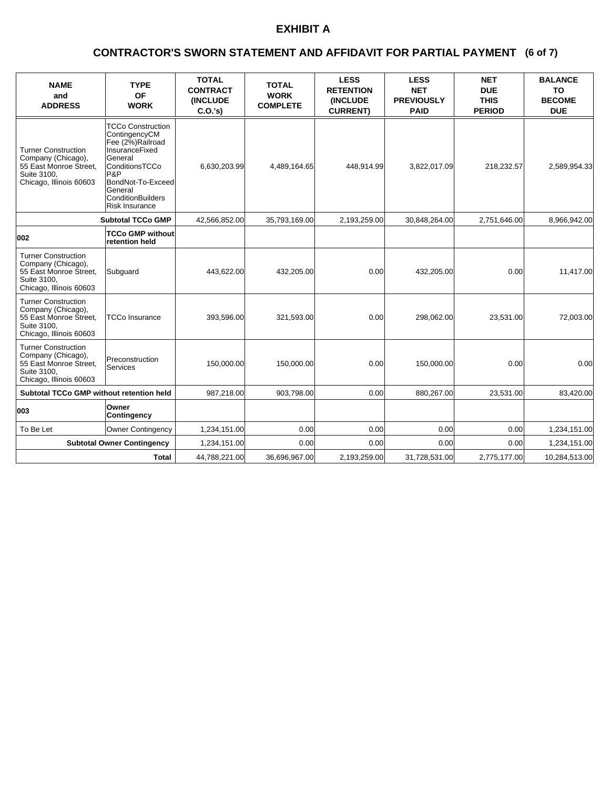### **(6 of 7) CONTRACTOR'S SWORN STATEMENT AND AFFIDAVIT FOR PARTIAL PAYMENT**

| <b>NAME</b><br>and<br><b>ADDRESS</b>                                                                                 | <b>TYPE</b><br><b>OF</b><br><b>WORK</b>                                                                                                                                                                  | <b>TOTAL</b><br><b>CONTRACT</b><br><b>(INCLUDE)</b><br>C.O.'s | <b>TOTAL</b><br><b>WORK</b><br><b>COMPLETE</b> | <b>LESS</b><br><b>RETENTION</b><br><b>(INCLUDE</b><br><b>CURRENT)</b> | <b>LESS</b><br><b>NET</b><br><b>PREVIOUSLY</b><br><b>PAID</b> | <b>NET</b><br><b>DUE</b><br><b>THIS</b><br><b>PERIOD</b> | <b>BALANCE</b><br><b>TO</b><br><b>BECOME</b><br><b>DUE</b> |
|----------------------------------------------------------------------------------------------------------------------|----------------------------------------------------------------------------------------------------------------------------------------------------------------------------------------------------------|---------------------------------------------------------------|------------------------------------------------|-----------------------------------------------------------------------|---------------------------------------------------------------|----------------------------------------------------------|------------------------------------------------------------|
| <b>Turner Construction</b><br>Company (Chicago),<br>55 East Monroe Street,<br>Suite 3100,<br>Chicago, Illinois 60603 | <b>TCCo Construction</b><br>ContingencyCM<br>Fee (2%)Railroad<br><b>InsuranceFixed</b><br>General<br>ConditionsTCCo<br>P&P<br>BondNot-To-Exceed<br>General<br><b>ConditionBuilders</b><br>Risk Insurance | 6,630,203.99                                                  | 4,489,164.65                                   | 448,914.99                                                            | 3,822,017.09                                                  | 218,232.57                                               | 2,589,954.33                                               |
|                                                                                                                      | <b>Subtotal TCCo GMP</b>                                                                                                                                                                                 | 42,566,852.00                                                 | 35,793,169.00                                  | 2,193,259.00                                                          | 30,848,264.00                                                 | 2,751,646.00                                             | 8,966,942.00                                               |
| 002                                                                                                                  | <b>TCCo GMP without</b><br>retention held                                                                                                                                                                |                                                               |                                                |                                                                       |                                                               |                                                          |                                                            |
| <b>Turner Construction</b><br>Company (Chicago),<br>55 East Monroe Street.<br>Suite 3100,<br>Chicago, Illinois 60603 | Subguard                                                                                                                                                                                                 | 443,622.00                                                    | 432,205.00                                     | 0.00                                                                  | 432,205.00                                                    | 0.00                                                     | 11,417.00                                                  |
| <b>Turner Construction</b><br>Company (Chicago),<br>55 East Monroe Street,<br>Suite 3100.<br>Chicago, Illinois 60603 | TCCo Insurance                                                                                                                                                                                           | 393.596.00                                                    | 321,593.00                                     | 0.00                                                                  | 298.062.00                                                    | 23.531.00                                                | 72,003.00                                                  |
| <b>Turner Construction</b><br>Company (Chicago),<br>55 East Monroe Street.<br>Suite 3100,<br>Chicago, Illinois 60603 | Preconstruction<br>Services                                                                                                                                                                              | 150.000.00                                                    | 150,000.00                                     | 0.00                                                                  | 150.000.00                                                    | 0.00                                                     | 0.00                                                       |
| Subtotal TCCo GMP without retention held                                                                             |                                                                                                                                                                                                          | 987,218.00                                                    | 903,798.00                                     | 0.00                                                                  | 880,267.00                                                    | 23,531.00                                                | 83,420.00                                                  |
| 003                                                                                                                  | Owner<br>Contingency                                                                                                                                                                                     |                                                               |                                                |                                                                       |                                                               |                                                          |                                                            |
| To Be Let                                                                                                            | <b>Owner Contingency</b>                                                                                                                                                                                 | 1,234,151.00                                                  | 0.00                                           | 0.00                                                                  | 0.00                                                          | 0.00                                                     | 1,234,151.00                                               |
|                                                                                                                      | <b>Subtotal Owner Contingency</b>                                                                                                                                                                        | 1,234,151.00                                                  | 0.00                                           | 0.00                                                                  | 0.00                                                          | 0.00                                                     | 1,234,151.00                                               |
|                                                                                                                      | <b>Total</b>                                                                                                                                                                                             | 44,788,221.00                                                 | 36,696,967.00                                  | 2,193,259.00                                                          | 31,728,531.00                                                 | 2,775,177.00                                             | 10,284,513.00                                              |